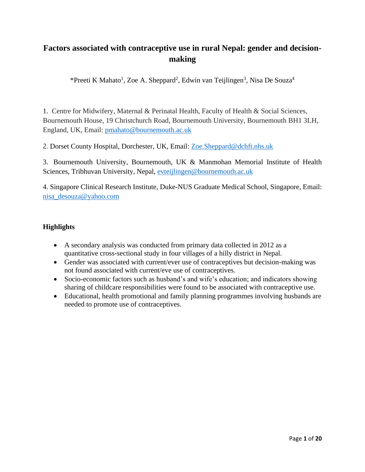# **Factors associated with contraceptive use in rural Nepal: gender and decisionmaking**

\*Preeti K Mahato<sup>1</sup>, Zoe A. Sheppard<sup>2</sup>, Edwin van Teijlingen<sup>3</sup>, Nisa De Souza<sup>4</sup>

1. Centre for Midwifery, Maternal & Perinatal Health, Faculty of Health & Social Sciences, Bournemouth House, 19 Christchurch Road, Bournemouth University, Bournemouth BH1 3LH, England, UK, Email: [pmahato@bournemouth.ac.uk](mailto:pmahato@bournemouth.ac.uk)

2. Dorset County Hospital, Dorchester, UK, Email: [Zoe.Sheppard@dchft.nhs.uk](mailto:Zoe.Sheppard@dchft.nhs.uk)

3. Bournemouth University, Bournemouth, UK & Manmohan Memorial Institute of Health Sciences, Tribhuvan University, Nepal, [evteijlingen@bournemouth.ac.uk](mailto:evteijlingen@bournemouth.ac.uk) 

4. Singapore Clinical Research Institute, Duke-NUS Graduate Medical School, Singapore, Email: [nisa\\_desouza@yahoo.com](mailto:nisa_desouza@yahoo.com)

## **Highlights**

- A secondary analysis was conducted from primary data collected in 2012 as a quantitative cross-sectional study in four villages of a hilly district in Nepal.
- Gender was associated with current/ever use of contraceptives but decision-making was not found associated with current/eve use of contraceptives.
- Socio-economic factors such as husband's and wife's education; and indicators showing sharing of childcare responsibilities were found to be associated with contraceptive use.
- Educational, health promotional and family planning programmes involving husbands are needed to promote use of contraceptives.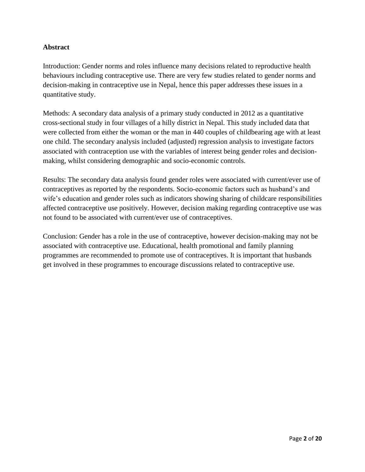## **Abstract**

Introduction: Gender norms and roles influence many decisions related to reproductive health behaviours including contraceptive use. There are very few studies related to gender norms and decision-making in contraceptive use in Nepal, hence this paper addresses these issues in a quantitative study.

Methods: A secondary data analysis of a primary study conducted in 2012 as a quantitative cross-sectional study in four villages of a hilly district in Nepal. This study included data that were collected from either the woman or the man in 440 couples of childbearing age with at least one child. The secondary analysis included (adjusted) regression analysis to investigate factors associated with contraception use with the variables of interest being gender roles and decisionmaking, whilst considering demographic and socio-economic controls.

Results: The secondary data analysis found gender roles were associated with current/ever use of contraceptives as reported by the respondents. Socio-economic factors such as husband's and wife's education and gender roles such as indicators showing sharing of childcare responsibilities affected contraceptive use positively. However, decision making regarding contraceptive use was not found to be associated with current/ever use of contraceptives.

Conclusion: Gender has a role in the use of contraceptive, however decision-making may not be associated with contraceptive use. Educational, health promotional and family planning programmes are recommended to promote use of contraceptives. It is important that husbands get involved in these programmes to encourage discussions related to contraceptive use.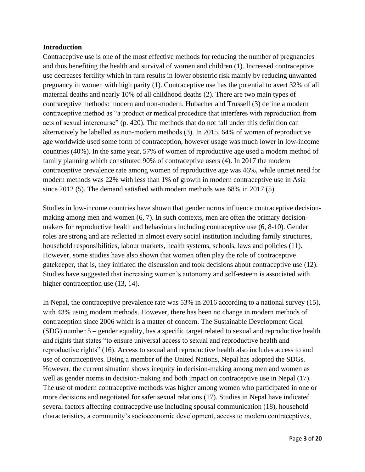### **Introduction**

Contraceptive use is one of the most effective methods for reducing the number of pregnancies and thus benefiting the health and survival of women and children (1). Increased contraceptive use decreases fertility which in turn results in lower obstetric risk mainly by reducing unwanted pregnancy in women with high parity (1). Contraceptive use has the potential to avert 32% of all maternal deaths and nearly 10% of all childhood deaths (2). There are two main types of contraceptive methods: modern and non-modern. Hubacher and Trussell (3) define a modern contraceptive method as "a product or medical procedure that interferes with reproduction from acts of sexual intercourse" (p. 420). The methods that do not fall under this definition can alternatively be labelled as non-modern methods (3). In 2015, 64% of women of reproductive age worldwide used some form of contraception, however usage was much lower in low-income countries (40%). In the same year, 57% of women of reproductive age used a modern method of family planning which constituted 90% of contraceptive users (4). In 2017 the modern contraceptive prevalence rate among women of reproductive age was 46%, while unmet need for modern methods was 22% with less than 1% of growth in modern contraceptive use in Asia since 2012 (5). The demand satisfied with modern methods was 68% in 2017 (5).

Studies in low-income countries have shown that gender norms influence contraceptive decisionmaking among men and women (6, 7). In such contexts, men are often the primary decisionmakers for reproductive health and behaviours including contraceptive use (6, 8-10). Gender roles are strong and are reflected in almost every social institution including family structures, household responsibilities, labour markets, health systems, schools, laws and policies (11). However, some studies have also shown that women often play the role of contraceptive gatekeeper, that is, they initiated the discussion and took decisions about contraceptive use (12). Studies have suggested that increasing women's autonomy and self-esteem is associated with higher contraception use  $(13, 14)$ .

In Nepal, the contraceptive prevalence rate was 53% in 2016 according to a national survey (15), with 43% using modern methods. However, there has been no change in modern methods of contraception since 2006 which is a matter of concern. The Sustainable Development Goal (SDG) number 5 – gender equality, has a specific target related to sexual and reproductive health and rights that states "to ensure universal access to sexual and reproductive health and reproductive rights" (16). Access to sexual and reproductive health also includes access to and use of contraceptives. Being a member of the United Nations, Nepal has adopted the SDGs. However, the current situation shows inequity in decision-making among men and women as well as gender norms in decision-making and both impact on contraceptive use in Nepal (17). The use of modern contraceptive methods was higher among women who participated in one or more decisions and negotiated for safer sexual relations (17). Studies in Nepal have indicated several factors affecting contraceptive use including spousal communication (18), household characteristics, a community's socioeconomic development, access to modern contraceptives,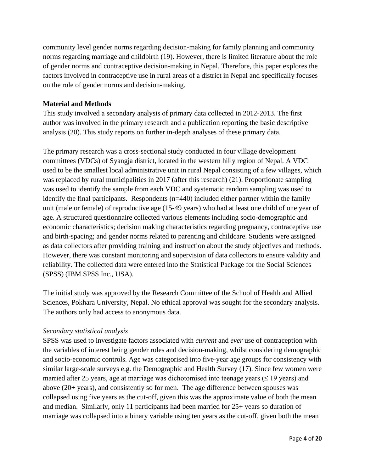community level gender norms regarding decision-making for family planning and community norms regarding marriage and childbirth (19). However, there is limited literature about the role of gender norms and contraceptive decision-making in Nepal. Therefore, this paper explores the factors involved in contraceptive use in rural areas of a district in Nepal and specifically focuses on the role of gender norms and decision-making.

### **Material and Methods**

This study involved a secondary analysis of primary data collected in 2012-2013. The first author was involved in the primary research and a publication reporting the basic descriptive analysis (20). This study reports on further in-depth analyses of these primary data.

The primary research was a cross-sectional study conducted in four village development committees (VDCs) of Syangja district, located in the western hilly region of Nepal. A VDC used to be the smallest local administrative unit in rural Nepal consisting of a few villages, which was replaced by rural municipalities in 2017 (after this research) (21). Proportionate sampling was used to identify the sample from each VDC and systematic random sampling was used to identify the final participants. Respondents  $(n=440)$  included either partner within the family unit (male or female) of reproductive age (15-49 years) who had at least one child of one year of age. A structured questionnaire collected various elements including socio-demographic and economic characteristics; decision making characteristics regarding pregnancy, contraceptive use and birth-spacing; and gender norms related to parenting and childcare. Students were assigned as data collectors after providing training and instruction about the study objectives and methods. However, there was constant monitoring and supervision of data collectors to ensure validity and reliability. The collected data were entered into the Statistical Package for the Social Sciences (SPSS) (IBM SPSS Inc., USA).

The initial study was approved by the Research Committee of the School of Health and Allied Sciences, Pokhara University, Nepal. No ethical approval was sought for the secondary analysis. The authors only had access to anonymous data.

### *Secondary statistical analysis*

SPSS was used to investigate factors associated with *current* and *ever* use of contraception with the variables of interest being gender roles and decision-making, whilst considering demographic and socio-economic controls. Age was categorised into five-year age groups for consistency with similar large-scale surveys e.g. the Demographic and Health Survey (17). Since few women were married after 25 years, age at marriage was dichotomised into teenage years ( $\leq$  19 years) and above (20+ years), and consistently so for men. The age difference between spouses was collapsed using five years as the cut-off, given this was the approximate value of both the mean and median. Similarly, only 11 participants had been married for 25+ years so duration of marriage was collapsed into a binary variable using ten years as the cut-off, given both the mean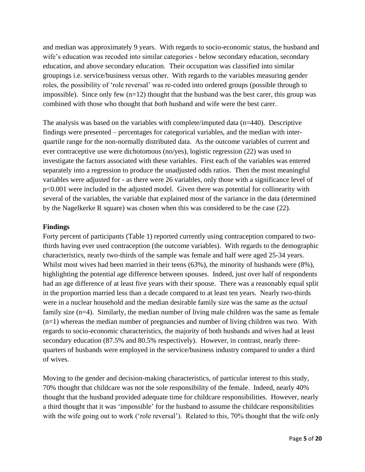and median was approximately 9 years. With regards to socio-economic status, the husband and wife's education was recoded into similar categories - below secondary education, secondary education, and above secondary education. Their occupation was classified into similar groupings i.e. service/business versus other. With regards to the variables measuring gender roles, the possibility of 'role reversal' was re-coded into ordered groups (possible through to impossible). Since only few  $(n=12)$  thought that the husband was the best carer, this group was combined with those who thought that *both* husband and wife were the best carer.

The analysis was based on the variables with complete/imputed data (n=440). Descriptive findings were presented – percentages for categorical variables, and the median with interquartile range for the non-normally distributed data. As the outcome variables of current and ever contraceptive use were dichotomous (no/yes), logistic regression (22) was used to investigate the factors associated with these variables. First each of the variables was entered separately into a regression to produce the unadjusted odds ratios. Then the most meaningful variables were adjusted for - as there were 26 variables, only those with a significance level of p<0.001 were included in the adjusted model. Given there was potential for collinearity with several of the variables, the variable that explained most of the variance in the data (determined by the Nagelkerke R square) was chosen when this was considered to be the case (22).

#### **Findings**

Forty percent of participants (Table 1) reported currently using contraception compared to twothirds having ever used contraception (the outcome variables). With regards to the demographic characteristics, nearly two-thirds of the sample was female and half were aged 25-34 years. Whilst most wives had been married in their teens (63%), the minority of husbands were (8%), highlighting the potential age difference between spouses. Indeed, just over half of respondents had an age difference of at least five years with their spouse. There was a reasonably equal split in the proportion married less than a decade compared to at least ten years. Nearly two-thirds were in a nuclear household and the median desirable family size was the same as the *actual* family size (n=4). Similarly, the median number of living male children was the same as female (n=1) whereas the median number of pregnancies and number of living children was two. With regards to socio-economic characteristics, the majority of both husbands and wives had at least secondary education (87.5% and 80.5% respectively). However, in contrast, nearly threequarters of husbands were employed in the service/business industry compared to under a third of wives.

Moving to the gender and decision-making characteristics, of particular interest to this study, 70% thought that childcare was not the sole responsibility of the female. Indeed, nearly 40% thought that the husband provided adequate time for childcare responsibilities. However, nearly a third thought that it was 'impossible' for the husband to assume the childcare responsibilities with the wife going out to work ('role reversal'). Related to this, 70% thought that the wife only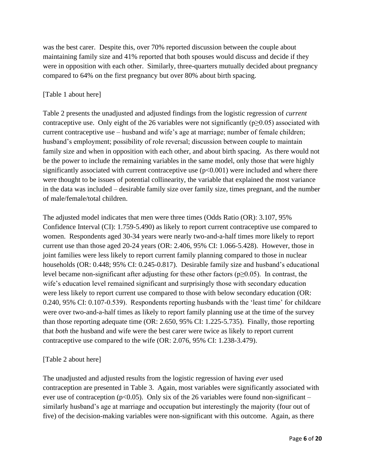was the best carer. Despite this, over 70% reported discussion between the couple about maintaining family size and 41% reported that both spouses would discuss and decide if they were in opposition with each other. Similarly, three-quarters mutually decided about pregnancy compared to 64% on the first pregnancy but over 80% about birth spacing.

## [Table 1 about here]

Table 2 presents the unadjusted and adjusted findings from the logistic regression of *current*  contraceptive use. Only eight of the 26 variables were not significantly ( $p\geq 0.05$ ) associated with current contraceptive use – husband and wife's age at marriage; number of female children; husband's employment; possibility of role reversal; discussion between couple to maintain family size and when in opposition with each other, and about birth spacing. As there would not be the power to include the remaining variables in the same model, only those that were highly significantly associated with current contraceptive use  $(p<0.001)$  were included and where there were thought to be issues of potential collinearity, the variable that explained the most variance in the data was included – desirable family size over family size, times pregnant, and the number of male/female/total children.

The adjusted model indicates that men were three times (Odds Ratio (OR): 3.107, 95% Confidence Interval (CI): 1.759-5.490) as likely to report current contraceptive use compared to women. Respondents aged 30-34 years were nearly two-and-a-half times more likely to report current use than those aged 20-24 years (OR: 2.406, 95% CI: 1.066-5.428). However, those in joint families were less likely to report current family planning compared to those in nuclear households (OR: 0.448; 95% CI: 0.245-0.817). Desirable family size and husband's educational level became non-significant after adjusting for these other factors ( $p\geq 0.05$ ). In contrast, the wife's education level remained significant and surprisingly those with secondary education were less likely to report current use compared to those with below secondary education (OR: 0.240, 95% CI: 0.107-0.539). Respondents reporting husbands with the 'least time' for childcare were over two-and-a-half times as likely to report family planning use at the time of the survey than those reporting adequate time (OR: 2.650, 95% CI: 1.225-5.735). Finally, those reporting that *both* the husband and wife were the best carer were twice as likely to report current contraceptive use compared to the wife (OR: 2.076, 95% CI: 1.238-3.479).

## [Table 2 about here]

The unadjusted and adjusted results from the logistic regression of having *ever* used contraception are presented in Table 3. Again, most variables were significantly associated with ever use of contraception ( $p<0.05$ ). Only six of the 26 variables were found non-significant – similarly husband's age at marriage and occupation but interestingly the majority (four out of five) of the decision-making variables were non-significant with this outcome. Again, as there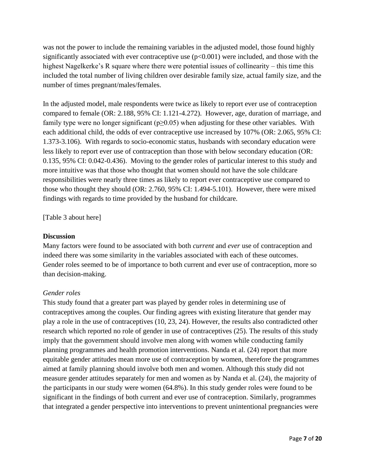was not the power to include the remaining variables in the adjusted model, those found highly significantly associated with ever contraceptive use  $(p<0.001)$  were included, and those with the highest Nagelkerke's R square where there were potential issues of collinearity – this time this included the total number of living children over desirable family size, actual family size, and the number of times pregnant/males/females.

In the adjusted model, male respondents were twice as likely to report ever use of contraception compared to female (OR: 2.188, 95% CI: 1.121-4.272). However, age, duration of marriage, and family type were no longer significant ( $p\geq 0.05$ ) when adjusting for these other variables. With each additional child, the odds of ever contraceptive use increased by 107% (OR: 2.065, 95% CI: 1.373-3.106). With regards to socio-economic status, husbands with secondary education were less likely to report ever use of contraception than those with below secondary education (OR: 0.135, 95% CI: 0.042-0.436). Moving to the gender roles of particular interest to this study and more intuitive was that those who thought that women should not have the sole childcare responsibilities were nearly three times as likely to report ever contraceptive use compared to those who thought they should (OR: 2.760, 95% CI: 1.494-5.101). However, there were mixed findings with regards to time provided by the husband for childcare.

[Table 3 about here]

### **Discussion**

Many factors were found to be associated with both *current* and *ever* use of contraception and indeed there was some similarity in the variables associated with each of these outcomes. Gender roles seemed to be of importance to both current and ever use of contraception, more so than decision-making.

### *Gender roles*

This study found that a greater part was played by gender roles in determining use of contraceptives among the couples. Our finding agrees with existing literature that gender may play a role in the use of contraceptives (10, 23, 24). However, the results also contradicted other research which reported no role of gender in use of contraceptives (25). The results of this study imply that the government should involve men along with women while conducting family planning programmes and health promotion interventions. Nanda et al. (24) report that more equitable gender attitudes mean more use of contraception by women, therefore the programmes aimed at family planning should involve both men and women. Although this study did not measure gender attitudes separately for men and women as by Nanda et al. (24), the majority of the participants in our study were women (64.8%). In this study gender roles were found to be significant in the findings of both current and ever use of contraception. Similarly, programmes that integrated a gender perspective into interventions to prevent unintentional pregnancies were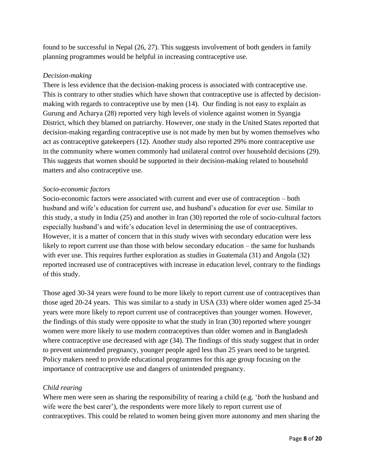found to be successful in Nepal (26, 27). This suggests involvement of both genders in family planning programmes would be helpful in increasing contraceptive use.

## *Decision-making*

There is less evidence that the decision-making process is associated with contraceptive use. This is contrary to other studies which have shown that contraceptive use is affected by decisionmaking with regards to contraceptive use by men (14). Our finding is not easy to explain as Gurung and Acharya (28) reported very high levels of violence against women in Syangja District, which they blamed on patriarchy. However, one study in the United States reported that decision-making regarding contraceptive use is not made by men but by women themselves who act as contraceptive gatekeepers (12). Another study also reported 29% more contraceptive use in the community where women commonly had unilateral control over household decisions (29). This suggests that women should be supported in their decision-making related to household matters and also contraceptive use.

### *Socio-economic factors*

Socio-economic factors were associated with current and ever use of contraception – both husband and wife's education for current use, and husband's education for ever use. Similar to this study, a study in India (25) and another in Iran (30) reported the role of socio-cultural factors especially husband's and wife's education level in determining the use of contraceptives. However, it is a matter of concern that in this study wives with secondary education were less likely to report current use than those with below secondary education – the same for husbands with ever use. This requires further exploration as studies in Guatemala (31) and Angola (32) reported increased use of contraceptives with increase in education level, contrary to the findings of this study.

Those aged 30-34 years were found to be more likely to report current use of contraceptives than those aged 20-24 years. This was similar to a study in USA (33) where older women aged 25-34 years were more likely to report current use of contraceptives than younger women. However, the findings of this study were opposite to what the study in Iran (30) reported where younger women were more likely to use modern contraceptives than older women and in Bangladesh where contraceptive use decreased with age (34). The findings of this study suggest that in order to prevent unintended pregnancy, younger people aged less than 25 years need to be targeted. Policy makers need to provide educational programmes for this age group focusing on the importance of contraceptive use and dangers of unintended pregnancy.

## *Child rearing*

Where men were seen as sharing the responsibility of rearing a child (e.g. '*both* the husband and wife were the best carer'), the respondents were more likely to report current use of contraceptives. This could be related to women being given more autonomy and men sharing the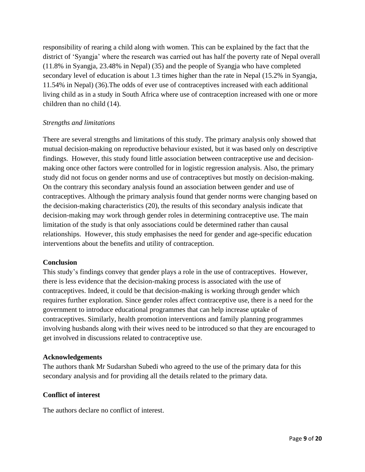responsibility of rearing a child along with women. This can be explained by the fact that the district of 'Syangja' where the research was carried out has half the poverty rate of Nepal overall (11.8% in Syangja, 23.48% in Nepal) (35) and the people of Syangja who have completed secondary level of education is about 1.3 times higher than the rate in Nepal (15.2% in Syangja, 11.54% in Nepal) (36).The odds of ever use of contraceptives increased with each additional living child as in a study in South Africa where use of contraception increased with one or more children than no child (14).

### *Strengths and limitations*

There are several strengths and limitations of this study. The primary analysis only showed that mutual decision-making on reproductive behaviour existed, but it was based only on descriptive findings. However, this study found little association between contraceptive use and decisionmaking once other factors were controlled for in logistic regression analysis. Also, the primary study did not focus on gender norms and use of contraceptives but mostly on decision-making. On the contrary this secondary analysis found an association between gender and use of contraceptives. Although the primary analysis found that gender norms were changing based on the decision-making characteristics (20), the results of this secondary analysis indicate that decision-making may work through gender roles in determining contraceptive use. The main limitation of the study is that only associations could be determined rather than causal relationships. However, this study emphasises the need for gender and age-specific education interventions about the benefits and utility of contraception.

#### **Conclusion**

This study's findings convey that gender plays a role in the use of contraceptives. However, there is less evidence that the decision-making process is associated with the use of contraceptives. Indeed, it could be that decision-making is working through gender which requires further exploration. Since gender roles affect contraceptive use, there is a need for the government to introduce educational programmes that can help increase uptake of contraceptives. Similarly, health promotion interventions and family planning programmes involving husbands along with their wives need to be introduced so that they are encouraged to get involved in discussions related to contraceptive use.

#### **Acknowledgements**

The authors thank Mr Sudarshan Subedi who agreed to the use of the primary data for this secondary analysis and for providing all the details related to the primary data.

### **Conflict of interest**

The authors declare no conflict of interest.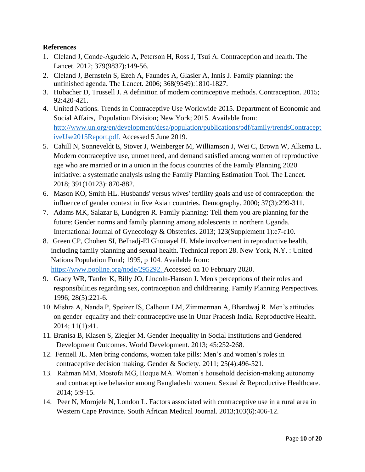## **References**

- 1. Cleland J, Conde-Agudelo A, Peterson H, Ross J, Tsui A. Contraception and health. The Lancet. 2012; 379(9837):149-56.
- 2. Cleland J, Bernstein S, Ezeh A, Faundes A, Glasier A, Innis J. Family planning: the unfinished agenda. The Lancet. 2006; 368(9549):1810-1827.
- 3. Hubacher D, Trussell J. A definition of modern contraceptive methods. Contraception. 2015; 92:420-421.
- 4. United Nations. Trends in Contraceptive Use Worldwide 2015. Department of Economic and Social Affairs, Population Division; New York; 2015. Available from: [http://www.un.org/en/development/desa/population/publications/pdf/family/trendsContracept](http://www.un.org/en/development/desa/population/publications/pdf/family/trendsContraceptiveUse2015Report.pdf) [iveUse2015Report.pdf.](http://www.un.org/en/development/desa/population/publications/pdf/family/trendsContraceptiveUse2015Report.pdf) Accessed 5 June 2019.
- 5. Cahill N, Sonneveldt E, Stover J, Weinberger M, Williamson J, Wei C, Brown W, Alkema L. Modern contraceptive use, unmet need, and demand satisfied among women of reproductive age who are married or in a union in the focus countries of the Family Planning 2020 initiative: a systematic analysis using the Family Planning Estimation Tool. The Lancet. 2018; 391(10123): 870-882.
- 6. Mason KO, Smith HL. Husbands' versus wives' fertility goals and use of contraception: the influence of gender context in five Asian countries. Demography. 2000; 37(3):299-311.
- 7. Adams MK, Salazar E, Lundgren R. Family planning: Tell them you are planning for the future: Gender norms and family planning among adolescents in northern Uganda. International Journal of Gynecology & Obstetrics. 2013; 123(Supplement 1):e7-e10.
- 8. Green CP, Chohen SI, Belhadj-El Ghouayel H. Male involvement in reproductive health, including family planning and sexual health. Technical report 28. New York, N.Y. : United Nations Population Fund; 1995, p 104. Available from: [https://www.popline.org/node/295292.](https://www.popline.org/node/295292) Accessed on 10 February 2020.
- 9. Grady WR, Tanfer K, Billy JO, Lincoln-Hanson J. Men's perceptions of their roles and responsibilities regarding sex, contraception and childrearing. Family Planning Perspectives. 1996; 28(5):221-6.
- 10. Mishra A, Nanda P, Speizer IS, Calhoun LM, Zimmerman A, Bhardwaj R. Men's attitudes on gender equality and their contraceptive use in Uttar Pradesh India. Reproductive Health. 2014; 11(1):41.
- 11. Branisa B, Klasen S, Ziegler M. Gender Inequality in Social Institutions and Gendered Development Outcomes. World Development. 2013; 45:252-268.
- 12. Fennell JL. Men bring condoms, women take pills: Men's and women's roles in contraceptive decision making. Gender & Society. 2011; 25(4):496-521.
- 13. Rahman MM, Mostofa MG, Hoque MA. Women's household decision-making autonomy and contraceptive behavior among Bangladeshi women. Sexual & Reproductive Healthcare. 2014; 5:9-15.
- 14. Peer N, Morojele N, London L. Factors associated with contraceptive use in a rural area in Western Cape Province. South African Medical Journal. 2013;103(6):406-12.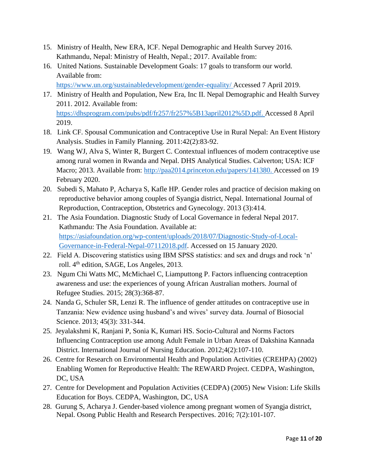- 15. Ministry of Health, New ERA, ICF. Nepal Demographic and Health Survey 2016. Kathmandu, Nepal: Ministry of Health, Nepal.; 2017. Available from:
- 16. United Nations. Sustainable Development Goals: 17 goals to transform our world. Available from: <https://www.un.org/sustainabledevelopment/gender-equality/> Accessed 7 April 2019.
- 17. Ministry of Health and Population, New Era, Inc II. Nepal Demographic and Health Survey 2011. 2012. Available from: [https://dhsprogram.com/pubs/pdf/fr257/fr257%5B13april2012%5D.pdf.](https://dhsprogram.com/pubs/pdf/fr257/fr257%5B13april2012%5D.pdf) Accessed 8 April 2019.
- 18. Link CF. Spousal Communication and Contraceptive Use in Rural Nepal: An Event History Analysis. Studies in Family Planning. 2011:42(2):83-92.
- 19. Wang WJ, Alva S, Winter R, Burgert C. Contextual influences of modern contraceptive use among rural women in Rwanda and Nepal. DHS Analytical Studies. Calverton; USA: ICF Macro; 2013. Available from: [http://paa2014.princeton.edu/papers/141380.](http://paa2014.princeton.edu/papers/141380) Accessed on 19 February 2020.
- 20. Subedi S, Mahato P, Acharya S, Kafle HP. Gender roles and practice of decision making on reproductive behavior among couples of Syangja district, Nepal. International Journal of Reproduction, Contraception, Obstetrics and Gynecology. 2013 (3):414.
- 21. The Asia Foundation. Diagnostic Study of Local Governance in federal Nepal 2017. Kathmandu: The Asia Foundation. Available at: [https://asiafoundation.org/wp-content/uploads/2018/07/Diagnostic-Study-of-Local-](https://asiafoundation.org/wp-content/uploads/2018/07/Diagnostic-Study-of-Local-Governance-in-Federal-Nepal-07112018.pdf)[Governance-in-Federal-Nepal-07112018.pdf.](https://asiafoundation.org/wp-content/uploads/2018/07/Diagnostic-Study-of-Local-Governance-in-Federal-Nepal-07112018.pdf) Accessed on 15 January 2020.
- 22. Field A. Discovering statistics using IBM SPSS statistics: and sex and drugs and rock 'n' roll. 4<sup>th</sup> edition, SAGE, Los Angeles, 2013.
- 23. Ngum Chi Watts MC, McMichael C, Liamputtong P. Factors influencing contraception awareness and use: the experiences of young African Australian mothers. Journal of Refugee Studies. 2015; 28(3):368-87.
- 24. Nanda G, Schuler SR, Lenzi R. The influence of gender attitudes on contraceptive use in Tanzania: New evidence using husband's and wives' survey data. Journal of Biosocial Science. 2013; 45(3): 331-344.
- 25. Jeyalakshmi K, Ranjani P, Sonia K, Kumari HS. Socio-Cultural and Norms Factors Influencing Contraception use among Adult Female in Urban Areas of Dakshina Kannada District. International Journal of Nursing Education. 2012;4(2):107-110.
- 26. Centre for Research on Environmental Health and Population Activities (CREHPA) (2002) Enabling Women for Reproductive Health: The REWARD Project. CEDPA, Washington, DC, USA
- 27. Centre for Development and Population Activities (CEDPA) (2005) New Vision: Life Skills Education for Boys. CEDPA, Washington, DC, USA
- 28. Gurung S, Acharya J. Gender-based violence among pregnant women of Syangja district, Nepal. Osong Public Health and Research Perspectives. 2016; 7(2):101-107.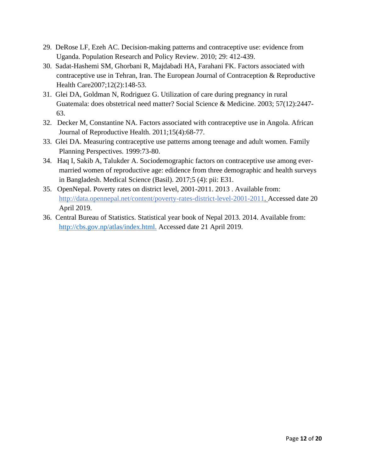- 29. DeRose LF, Ezeh AC. Decision-making patterns and contraceptive use: evidence from Uganda. Population Research and Policy Review. 2010; 29: 412-439.
- 30. Sadat-Hashemi SM, Ghorbani R, Majdabadi HA, Farahani FK. Factors associated with contraceptive use in Tehran, Iran. The European Journal of Contraception & Reproductive Health Care2007;12(2):148-53.
- 31. Glei DA, Goldman N, Rodriguez G. Utilization of care during pregnancy in rural Guatemala: does obstetrical need matter? Social Science & Medicine. 2003; 57(12):2447- 63.
- 32. Decker M, Constantine NA. Factors associated with contraceptive use in Angola. African Journal of Reproductive Health. 2011;15(4):68-77.
- 33. Glei DA. Measuring contraceptive use patterns among teenage and adult women. Family Planning Perspectives. 1999:73-80.
- 34. Haq I, Sakib A, Talukder A. Sociodemographic factors on contraceptive use among evermarried women of reproductive age: edidence from three demographic and health surveys in Bangladesh. Medical Science (Basil). 2017;5 (4): pii: E31.
- 35. OpenNepal. Poverty rates on district level, 2001-2011. 2013 . Available from: [http://data.opennepal.net/content/poverty-rates-district-level-2001-2011.](http://data.opennepal.net/content/poverty-rates-district-level-2001-2011) Accessed date 20 April 2019.
- 36. Central Bureau of Statistics. Statistical year book of Nepal 2013. 2014. Available from: <http://cbs.gov.np/atlas/index.html.> Accessed date 21 April 2019.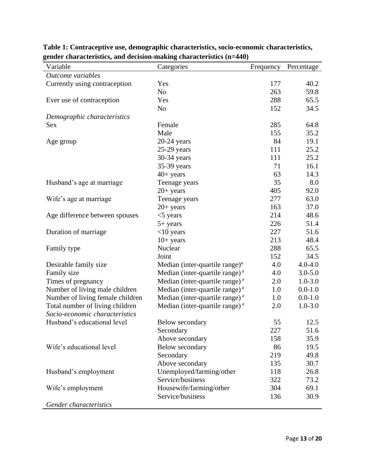| Variable                         | Categories                                 | Frequency | Percentage  |
|----------------------------------|--------------------------------------------|-----------|-------------|
| Outcome variables                |                                            |           |             |
| Currently using contraception    | Yes                                        | 177       | 40.2        |
|                                  | N <sub>o</sub>                             | 263       | 59.8        |
| Ever use of contraception        | Yes                                        | 288       | 65.5        |
|                                  | N <sub>o</sub>                             | 152       | 34.5        |
| Demographic characteristics      |                                            |           |             |
| Sex                              | Female                                     | 285       | 64.8        |
|                                  | Male                                       | 155       | 35.2        |
| Age group                        | $20-24$ years                              | 84        | 19.1        |
|                                  | $25-29$ years                              | 111       | 25.2        |
|                                  | 30-34 years                                | 111       | 25.2        |
|                                  | 35-39 years                                | 71        | 16.1        |
|                                  | $40+$ years                                | 63        | 14.3        |
| Husband's age at marriage        | Teenage years                              | 35        | 8.0         |
|                                  | $20+$ years                                | 405       | 92.0        |
| Wife's age at marriage           | Teenage years                              | 277       | 63.0        |
|                                  | $20+$ years                                | 163       | 37.0        |
| Age difference between spouses   | $<$ 5 years                                | 214       | 48.6        |
|                                  | $5+$ years                                 | 226       | 51.4        |
| Duration of marriage             | $<$ 10 years                               | 227       | 51.6        |
|                                  | $10+$ years                                | 213       | 48.4        |
| Family type                      | Nuclear                                    | 288       | 65.5        |
|                                  | Joint                                      | 152       | 34.5        |
| Desirable family size            | Median (inter-quartile range) <sup>a</sup> | 4.0       | $4.0 - 4.0$ |
| Family size                      | Median (inter-quartile range) <sup>a</sup> | 4.0       | $3.0 - 5.0$ |
| Times of pregnancy               | Median (inter-quartile range) <sup>a</sup> | 2.0       | $1.0 - 3.0$ |
| Number of living male children   | Median (inter-quartile range) <sup>a</sup> | 1.0       | $0.0 - 1.0$ |
| Number of living female children | Median (inter-quartile range) <sup>a</sup> | 1.0       | $0.0 - 1.0$ |
| Total number of living children  | Median (inter-quartile range) <sup>a</sup> | 2.0       | $1.0 - 3.0$ |
| Socio-economic characteristics   |                                            |           |             |
| Husband's educational level      | Below secondary                            | 55        | 12.5        |
|                                  | Secondary                                  | 227       | 51.6        |
|                                  | Above secondary                            | 158       | 35.9        |
| Wife's educational level         | Below secondary                            | 86        | 19.5        |
|                                  | Secondary                                  | 219       | 49.8        |
|                                  | Above secondary                            | 135       | 30.7        |
| Husband's employment             | Unemployed/farming/other                   | 118       | 26.8        |
|                                  | Service/business                           | 322       | 73.2        |
| Wife's employment                | Housewife/farming/other                    | 304       | 69.1        |
|                                  | Service/business                           | 136       | 30.9        |
| Gender characteristics           |                                            |           |             |

**Table 1: Contraceptive use, demographic characteristics, socio-economic characteristics, gender characteristics, and decision-making characteristics (n=440)**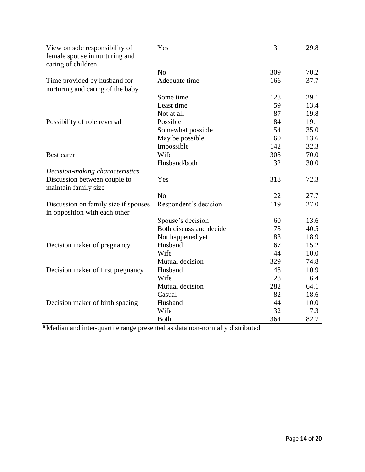| View on sole responsibility of<br>female spouse in nurturing and<br>caring of children | Yes                     | 131 | 29.8 |
|----------------------------------------------------------------------------------------|-------------------------|-----|------|
|                                                                                        | N <sub>0</sub>          | 309 | 70.2 |
| Time provided by husband for<br>nurturing and caring of the baby                       | Adequate time           | 166 | 37.7 |
|                                                                                        | Some time               | 128 | 29.1 |
|                                                                                        | Least time              | 59  | 13.4 |
|                                                                                        | Not at all              | 87  | 19.8 |
| Possibility of role reversal                                                           | Possible                | 84  | 19.1 |
|                                                                                        | Somewhat possible       | 154 | 35.0 |
|                                                                                        | May be possible         | 60  | 13.6 |
|                                                                                        | Impossible              | 142 | 32.3 |
| Best carer                                                                             | Wife                    | 308 | 70.0 |
|                                                                                        | Husband/both            | 132 | 30.0 |
| Decision-making characteristics                                                        |                         |     |      |
| Discussion between couple to<br>maintain family size                                   | Yes                     | 318 | 72.3 |
|                                                                                        | N <sub>0</sub>          | 122 | 27.7 |
| Discussion on family size if spouses<br>in opposition with each other                  | Respondent's decision   | 119 | 27.0 |
|                                                                                        | Spouse's decision       | 60  | 13.6 |
|                                                                                        | Both discuss and decide | 178 | 40.5 |
|                                                                                        | Not happened yet        | 83  | 18.9 |
| Decision maker of pregnancy                                                            | Husband                 | 67  | 15.2 |
|                                                                                        | Wife                    | 44  | 10.0 |
|                                                                                        | Mutual decision         | 329 | 74.8 |
| Decision maker of first pregnancy                                                      | Husband                 | 48  | 10.9 |
|                                                                                        | Wife                    | 28  | 6.4  |
|                                                                                        | Mutual decision         | 282 | 64.1 |
|                                                                                        | Casual                  | 82  | 18.6 |
| Decision maker of birth spacing                                                        | Husband                 | 44  | 10.0 |
|                                                                                        | Wife                    | 32  | 7.3  |
|                                                                                        | <b>Both</b>             | 364 | 82.7 |

<sup>a</sup>Median and inter-quartile range presented as data non-normally distributed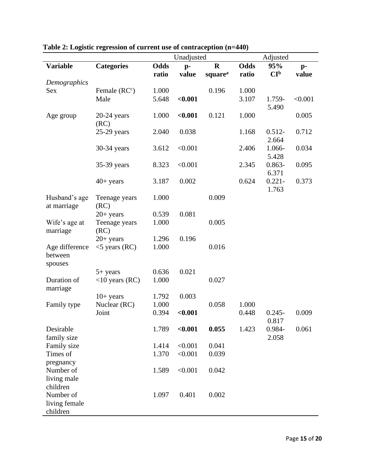|                 |                   |             | Unadjusted |                     |             | Adjusted        |         |
|-----------------|-------------------|-------------|------------|---------------------|-------------|-----------------|---------|
| <b>Variable</b> | <b>Categories</b> | <b>Odds</b> | $p-$       | $\mathbf R$         | <b>Odds</b> | 95%             | $p-$    |
|                 |                   | ratio       | value      | square <sup>a</sup> | ratio       | CI <sub>p</sub> | value   |
| Demographics    |                   |             |            |                     |             |                 |         |
| Sex             | Female $(RCc)$    | 1.000       |            | 0.196               | 1.000       |                 |         |
|                 | Male              | 5.648       | < 0.001    |                     | 3.107       | 1.759-          | < 0.001 |
|                 |                   |             |            |                     |             | 5.490           |         |
| Age group       | $20-24$ years     | 1.000       | < 0.001    | 0.121               | 1.000       |                 | 0.005   |
|                 | (RC)              |             |            |                     |             |                 |         |
|                 | $25-29$ years     | 2.040       | 0.038      |                     | 1.168       | $0.512 -$       | 0.712   |
|                 |                   |             |            |                     |             | 2.664           |         |
|                 | 30-34 years       | 3.612       | < 0.001    |                     | 2.406       | 1.066-          | 0.034   |
|                 |                   |             |            |                     |             | 5.428           |         |
|                 | 35-39 years       | 8.323       | < 0.001    |                     | 2.345       | $0.863 -$       | 0.095   |
|                 |                   |             |            |                     |             | 6.371           |         |
|                 | $40+$ years       | 3.187       | 0.002      |                     | 0.624       | $0.221 -$       | 0.373   |
|                 |                   |             |            |                     |             | 1.763           |         |
| Husband's age   | Teenage years     | 1.000       |            | 0.009               |             |                 |         |
| at marriage     | (RC)              |             |            |                     |             |                 |         |
|                 | $20+$ years       | 0.539       | 0.081      |                     |             |                 |         |
| Wife's age at   | Teenage years     | 1.000       |            | 0.005               |             |                 |         |
| marriage        | (RC)              |             |            |                     |             |                 |         |
|                 | $20+$ years       | 1.296       | 0.196      |                     |             |                 |         |
| Age difference  | $<$ 5 years (RC)  | 1.000       |            | 0.016               |             |                 |         |
| between         |                   |             |            |                     |             |                 |         |
| spouses         |                   |             |            |                     |             |                 |         |
|                 | $5+$ years        | 0.636       | 0.021      |                     |             |                 |         |
| Duration of     | $<$ 10 years (RC) | 1.000       |            | 0.027               |             |                 |         |
| marriage        |                   |             |            |                     |             |                 |         |
|                 | $10+$ years       | 1.792       | 0.003      |                     |             |                 |         |
| Family type     | Nuclear (RC)      | 1.000       |            | 0.058               | 1.000       |                 |         |
|                 | Joint             | 0.394       | < 0.001    |                     | 0.448       | $0.245 -$       | 0.009   |
|                 |                   |             |            |                     |             | 0.817           |         |
| Desirable       |                   | 1.789       | < 0.001    | 0.055               | 1.423       | 0.984-          | 0.061   |
| family size     |                   |             |            |                     |             | 2.058           |         |
| Family size     |                   | 1.414       | < 0.001    | 0.041               |             |                 |         |
| Times of        |                   | 1.370       | < 0.001    | 0.039               |             |                 |         |
| pregnancy       |                   |             |            |                     |             |                 |         |
| Number of       |                   | 1.589       | < 0.001    | 0.042               |             |                 |         |
| living male     |                   |             |            |                     |             |                 |         |
| children        |                   |             |            |                     |             |                 |         |
| Number of       |                   | 1.097       | 0.401      | 0.002               |             |                 |         |
| living female   |                   |             |            |                     |             |                 |         |
| children        |                   |             |            |                     |             |                 |         |

**Table 2: Logistic regression of current use of contraception (n=440)**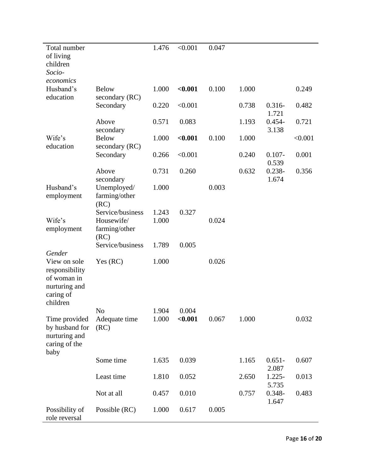| Total number<br>of living<br>children<br>Socio-                                                   |                                                         | 1.476          | < 0.001          | 0.047 |       |                             |         |
|---------------------------------------------------------------------------------------------------|---------------------------------------------------------|----------------|------------------|-------|-------|-----------------------------|---------|
| economics<br>Husband's<br>education                                                               | <b>Below</b>                                            | 1.000          | < 0.001          | 0.100 | 1.000 |                             | 0.249   |
|                                                                                                   | secondary (RC)<br>Secondary                             | 0.220          | < 0.001          |       | 0.738 | $0.316 -$                   | 0.482   |
|                                                                                                   | Above                                                   | 0.571          | 0.083            |       | 1.193 | 1.721<br>$0.454 -$<br>3.138 | 0.721   |
| Wife's<br>education                                                                               | secondary<br><b>Below</b>                               | 1.000          | < 0.001          | 0.100 | 1.000 |                             | < 0.001 |
|                                                                                                   | secondary (RC)<br>Secondary                             | 0.266          | < 0.001          |       | 0.240 | $0.107 -$<br>0.539          | 0.001   |
|                                                                                                   | Above<br>secondary                                      | 0.731          | 0.260            |       | 0.632 | $0.238 -$<br>1.674          | 0.356   |
| Husband's<br>employment                                                                           | Unemployed/<br>farming/other<br>(RC)                    | 1.000          |                  | 0.003 |       |                             |         |
| Wife's<br>employment                                                                              | Service/business<br>Housewife/<br>farming/other<br>(RC) | 1.243<br>1.000 | 0.327            | 0.024 |       |                             |         |
|                                                                                                   | Service/business                                        | 1.789          | 0.005            |       |       |                             |         |
| Gender<br>View on sole<br>responsibility<br>of woman in<br>nurturing and<br>caring of<br>children | Yes $(RC)$                                              | 1.000          |                  | 0.026 |       |                             |         |
| Time provided<br>by husband for<br>nurturing and<br>caring of the                                 | No<br>Adequate time<br>(RC)                             | 1.904<br>1.000 | 0.004<br>< 0.001 | 0.067 | 1.000 |                             | 0.032   |
| baby                                                                                              | Some time                                               | 1.635          | 0.039            |       | 1.165 | $0.651 -$                   | 0.607   |
|                                                                                                   | Least time                                              | 1.810          | 0.052            |       | 2.650 | 2.087<br>$1.225 -$          | 0.013   |
|                                                                                                   | Not at all                                              | 0.457          | 0.010            |       | 0.757 | 5.735<br>$0.348 -$          | 0.483   |
| Possibility of<br>role reversal                                                                   | Possible (RC)                                           | 1.000          | 0.617            | 0.005 |       | 1.647                       |         |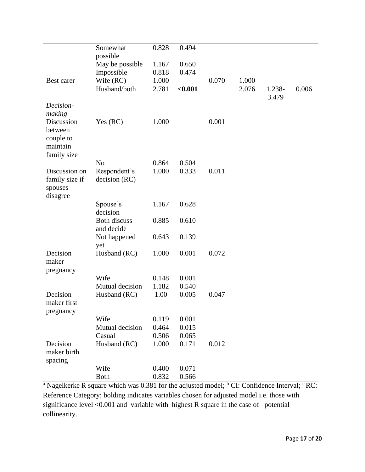|                | Somewhat            | 0.828 | 0.494   |       |       |        |       |
|----------------|---------------------|-------|---------|-------|-------|--------|-------|
|                | possible            |       |         |       |       |        |       |
|                | May be possible     | 1.167 | 0.650   |       |       |        |       |
|                | Impossible          | 0.818 | 0.474   |       |       |        |       |
| Best carer     | Wife (RC)           | 1.000 |         | 0.070 | 1.000 |        |       |
|                | Husband/both        | 2.781 | < 0.001 |       | 2.076 | 1.238- | 0.006 |
|                |                     |       |         |       |       | 3.479  |       |
| Decision-      |                     |       |         |       |       |        |       |
| making         |                     |       |         |       |       |        |       |
| Discussion     | Yes $(RC)$          | 1.000 |         | 0.001 |       |        |       |
| between        |                     |       |         |       |       |        |       |
| couple to      |                     |       |         |       |       |        |       |
| maintain       |                     |       |         |       |       |        |       |
| family size    | N <sub>o</sub>      | 0.864 | 0.504   |       |       |        |       |
| Discussion on  | Respondent's        | 1.000 | 0.333   | 0.011 |       |        |       |
| family size if | decision (RC)       |       |         |       |       |        |       |
| spouses        |                     |       |         |       |       |        |       |
| disagree       |                     |       |         |       |       |        |       |
|                | Spouse's            | 1.167 | 0.628   |       |       |        |       |
|                | decision            |       |         |       |       |        |       |
|                | <b>Both discuss</b> | 0.885 | 0.610   |       |       |        |       |
|                | and decide          |       |         |       |       |        |       |
|                | Not happened        | 0.643 | 0.139   |       |       |        |       |
|                | yet                 |       |         |       |       |        |       |
| Decision       | Husband (RC)        | 1.000 | 0.001   | 0.072 |       |        |       |
| maker          |                     |       |         |       |       |        |       |
| pregnancy      |                     |       |         |       |       |        |       |
|                | Wife                | 0.148 | 0.001   |       |       |        |       |
|                | Mutual decision     | 1.182 | 0.540   |       |       |        |       |
| Decision       | Husband (RC)        | 1.00  | 0.005   | 0.047 |       |        |       |
| maker first    |                     |       |         |       |       |        |       |
| pregnancy      | Wife                | 0.119 | 0.001   |       |       |        |       |
|                | Mutual decision     | 0.464 | 0.015   |       |       |        |       |
|                | Casual              | 0.506 | 0.065   |       |       |        |       |
| Decision       | Husband (RC)        | 1.000 | 0.171   | 0.012 |       |        |       |
| maker birth    |                     |       |         |       |       |        |       |
| spacing        |                     |       |         |       |       |        |       |
|                | Wife                | 0.400 | 0.071   |       |       |        |       |
|                | <b>Both</b>         | 0.832 | 0.566   |       |       |        |       |

<sup>a</sup> Nagelkerke R square which was 0.381 for the adjusted model; <sup>b</sup> CI: Confidence Interval;  $\textdegree$  RC: Reference Category; bolding indicates variables chosen for adjusted model i.e. those with significance level <0.001 and variable with highest R square in the case of potential collinearity.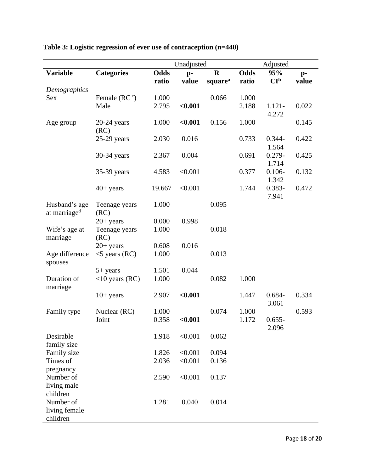| <b>Variable</b>                           | <b>Categories</b>     | <b>Odds</b> |         |                     |             |                    |       |
|-------------------------------------------|-----------------------|-------------|---------|---------------------|-------------|--------------------|-------|
|                                           |                       |             | $p-$    | $\mathbf R$         | <b>Odds</b> | 95%                | $p-$  |
| Demographics                              |                       | ratio       | value   | square <sup>a</sup> | ratio       | CI <sub>p</sub>    | value |
| <b>Sex</b>                                | Female $(RC^c)$       | 1.000       |         | 0.066               | 1.000       |                    |       |
|                                           | Male                  | 2.795       | < 0.001 |                     | 2.188       | $1.121 -$          | 0.022 |
|                                           |                       |             |         |                     |             | 4.272              |       |
| Age group                                 | $20-24$ years<br>(RC) | 1.000       | < 0.001 | 0.156               | 1.000       |                    | 0.145 |
|                                           | $25-29$ years         | 2.030       | 0.016   |                     | 0.733       | $0.344 -$          | 0.422 |
|                                           |                       |             |         |                     |             | 1.564              |       |
|                                           | 30-34 years           | 2.367       | 0.004   |                     | 0.691       | $0.279 -$          | 0.425 |
|                                           | 35-39 years           | 4.583       | < 0.001 |                     | 0.377       | 1.714<br>$0.106 -$ | 0.132 |
|                                           |                       |             |         |                     |             | 1.342              |       |
|                                           | $40+$ years           | 19.667      | < 0.001 |                     | 1.744       | $0.383 -$          | 0.472 |
|                                           |                       |             |         | 0.095               |             | 7.941              |       |
| Husband's age<br>at marriage <sup>d</sup> | Teenage years<br>(RC) | 1.000       |         |                     |             |                    |       |
|                                           | $20+$ years           | 0.000       | 0.998   |                     |             |                    |       |
| Wife's age at                             | Teenage years         | 1.000       |         | 0.018               |             |                    |       |
| marriage                                  | (RC)<br>$20+$ years   | 0.608       | 0.016   |                     |             |                    |       |
| Age difference                            | $<$ 5 years (RC)      | 1.000       |         | 0.013               |             |                    |       |
| spouses                                   |                       |             |         |                     |             |                    |       |
|                                           | $5+$ years            | 1.501       | 0.044   |                     |             |                    |       |
| Duration of<br>marriage                   | $<$ 10 years (RC)     | 1.000       |         | 0.082               | 1.000       |                    |       |
|                                           | $10+$ years           | 2.907       | < 0.001 |                     | 1.447       | $0.684 -$          | 0.334 |
|                                           |                       |             |         |                     |             | 3.061              |       |
| Family type                               | Nuclear (RC)          | 1.000       |         | 0.074               | 1.000       |                    | 0.593 |
|                                           | Joint                 | 0.358       | < 0.001 |                     | 1.172       | $0.655 -$<br>2.096 |       |
| Desirable                                 |                       | 1.918       | < 0.001 | 0.062               |             |                    |       |
| family size                               |                       |             |         |                     |             |                    |       |
| Family size                               |                       | 1.826       | < 0.001 | 0.094               |             |                    |       |
| Times of                                  |                       | 2.036       | < 0.001 | 0.136               |             |                    |       |
| pregnancy<br>Number of                    |                       | 2.590       | < 0.001 | 0.137               |             |                    |       |
| living male                               |                       |             |         |                     |             |                    |       |
| children                                  |                       |             |         |                     |             |                    |       |
| Number of                                 |                       | 1.281       | 0.040   | 0.014               |             |                    |       |
| living female<br>children                 |                       |             |         |                     |             |                    |       |

# **Table 3: Logistic regression of ever use of contraception (n=440)**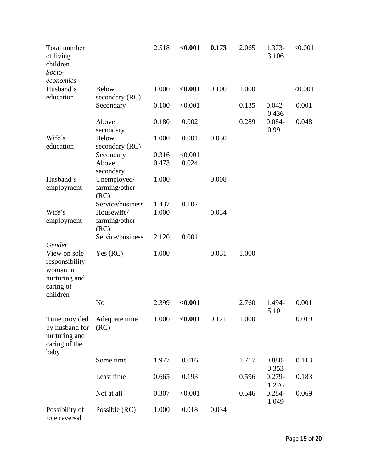| Total number<br>of living                                                 |                                      | 2.518 | < 0.001 | 0.173 | 2.065 | 1.373-<br>3.106    | < 0.001 |
|---------------------------------------------------------------------------|--------------------------------------|-------|---------|-------|-------|--------------------|---------|
| children<br>Socio-                                                        |                                      |       |         |       |       |                    |         |
| economics<br>Husband's<br>education                                       | <b>Below</b><br>secondary (RC)       | 1.000 | < 0.001 | 0.100 | 1.000 |                    | < 0.001 |
|                                                                           | Secondary                            | 0.100 | < 0.001 |       | 0.135 | $0.042 -$<br>0.436 | 0.001   |
|                                                                           | Above<br>secondary                   | 0.180 | 0.002   |       | 0.289 | $0.084 -$<br>0.991 | 0.048   |
| Wife's<br>education                                                       | <b>Below</b><br>secondary (RC)       | 1.000 | 0.001   | 0.050 |       |                    |         |
|                                                                           | Secondary                            | 0.316 | < 0.001 |       |       |                    |         |
|                                                                           | Above<br>secondary                   | 0.473 | 0.024   |       |       |                    |         |
| Husband's<br>employment                                                   | Unemployed/<br>farming/other<br>(RC) | 1.000 |         | 0.008 |       |                    |         |
|                                                                           | Service/business                     | 1.437 | 0.102   |       |       |                    |         |
| Wife's                                                                    | Housewife/                           | 1.000 |         | 0.034 |       |                    |         |
| employment                                                                | farming/other<br>(RC)                |       |         |       |       |                    |         |
|                                                                           | Service/business                     | 2.120 | 0.001   |       |       |                    |         |
| Gender<br>View on sole                                                    | Yes (RC)                             | 1.000 |         | 0.051 | 1.000 |                    |         |
| responsibility<br>woman in<br>nurturing and<br>caring of<br>children      |                                      |       |         |       |       |                    |         |
|                                                                           | N <sub>o</sub>                       | 2.399 | < 0.001 |       | 2.760 | 1.494-<br>5.101    | 0.001   |
| Time provided<br>by husband for<br>nurturing and<br>caring of the<br>baby | Adequate time<br>(RC)                | 1.000 | < 0.001 | 0.121 | 1.000 |                    | 0.019   |
|                                                                           | Some time                            | 1.977 | 0.016   |       | 1.717 | $0.880 -$<br>3.353 | 0.113   |
|                                                                           | Least time                           | 0.665 | 0.193   |       | 0.596 | $0.279 -$<br>1.276 | 0.183   |
|                                                                           | Not at all                           | 0.307 | < 0.001 |       | 0.546 | $0.284 -$<br>1.049 | 0.069   |
| Possibility of<br>role reversal                                           | Possible (RC)                        | 1.000 | 0.018   | 0.034 |       |                    |         |